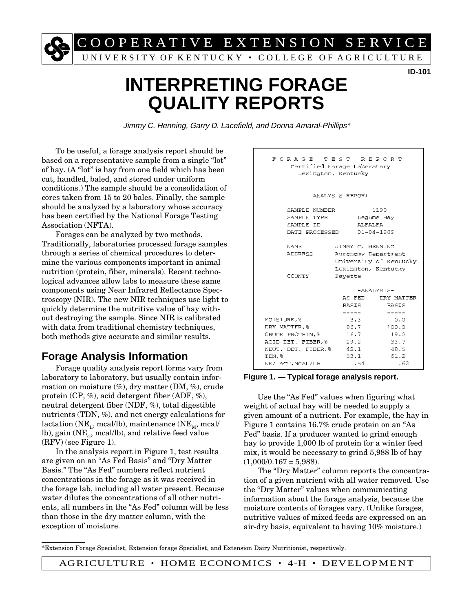C O O P E R A T I V E E X T E N S I O N S E R V I C E

UNIVERSITY OF KENTUCKY • COLLEGE OF AGRICULTURE

#### **ID-101**

# **INTERPRETING FORAGE QUALITY REPORTS**

Jimmy C. Henning, Garry D. Lacefield, and Donna Amaral-Phillips\*

To be useful, a forage analysis report should be based on a representative sample from a single "lot" of hay. (A "lot" is hay from one field which has been cut, handled, baled, and stored under uniform conditions.) The sample should be a consolidation of cores taken from 15 to 20 bales. Finally, the sample should be analyzed by a laboratory whose accuracy has been certified by the National Forage Testing Association (NFTA).

Forages can be analyzed by two methods. Traditionally, laboratories processed forage samples through a series of chemical procedures to determine the various components important in animal nutrition (protein, fiber, minerals). Recent technological advances allow labs to measure these same components using Near Infrared Reflectance Spectroscopy (NIR). The new NIR techniques use light to quickly determine the nutritive value of hay without destroying the sample. Since NIR is calibrated with data from traditional chemistry techniques, both methods give accurate and similar results.

# **Forage Analysis Information**

Forage quality analysis report forms vary from laboratory to laboratory, but usually contain information on moisture  $(\%)$ , dry matter (DM,  $\%$ ), crude protein (CP, %), acid detergent fiber (ADF, %), neutral detergent fiber (NDF, %), total digestible nutrients (TDN, %), and net energy calculations for lactation (NE<sub>1</sub>, mcal/lb), maintenance (NE<sub>M</sub>, mcal/ lb), gain ( $NE<sub>G</sub>$ , mcal/lb), and relative feed value (RFV) (see Figure 1).

In the analysis report in Figure 1, test results are given on an "As Fed Basis" and "Dry Matter Basis." The "As Fed" numbers reflect nutrient concentrations in the forage as it was received in the forage lab, including all water present. Because water dilutes the concentrations of all other nutrients, all numbers in the "As Fed" column will be less than those in the dry matter column, with the exception of moisture.

| FORAGE TEST REPORT<br>Certified Forage Laboratory<br>Lexington, Kentucky |                                                                |                                        |
|--------------------------------------------------------------------------|----------------------------------------------------------------|----------------------------------------|
| ANALYSIS REPORT                                                          |                                                                |                                        |
| SAMPLE NUMBER<br>SAMPLE TYPE<br>SAMPLE ID<br>DATE PROCESSED              | ALFALFA                                                        | 1190<br>Lequme Hay<br>$01 - 04 - 1989$ |
| NAME<br>ADDRESS                                                          | JIMMY C. HENNING<br>Agronomy Department<br>Lexington, Kentucky | University of Kentucky                 |
| Favette<br>COUNTY                                                        |                                                                |                                        |
|                                                                          | -ANALYSTS-                                                     |                                        |
|                                                                          | AS FED                                                         | DRY MATTER                             |
|                                                                          | <b>BASIS</b>                                                   | <b>BASTS</b>                           |
| MOISTURE, %                                                              | _____<br>13.3                                                  | $\frac{1}{2}$<br>0.0                   |
| DRY MATTER. 8                                                            | 86.7                                                           | 100.0                                  |
| CRUDE PROTEIN. %                                                         | 16.7                                                           | 19.2                                   |
| ACID DET. FIBER, %                                                       | 29.2                                                           | 33.7                                   |
| NEUT. DET. FIBER.%                                                       | 42.1                                                           | 48.5                                   |
| TDN. 8                                                                   | 53.1                                                           | 61.2                                   |
| NE/LACT.MCAL/LB                                                          | .54                                                            | . 62                                   |

#### **Figure 1**. Typical forage analysis report. **Figure 1. — Typical forage analysis report.**

Use the "As Fed" values when figuring what weight of actual hay will be needed to supply a given amount of a nutrient. For example, the hay in Figure 1 contains 16.7% crude protein on an "As Fed" basis. If a producer wanted to grind enough hay to provide 1,000 lb of protein for a winter feed mix, it would be necessary to grind 5,988 lb of hay  $(1,000/0.167 = 5,988)$ .

The "Dry Matter" column reports the concentration of a given nutrient with all water removed. Use the "Dry Matter" values when communicating information about the forage analysis, because the moisture contents of forages vary. (Unlike forages, nutritive values of mixed feeds are expressed on an air-dry basis, equivalent to having 10% moisture.)

\*Extension Forage Specialist, Extension forage Specialist, and Extension Dairy Nutritionist, respectively.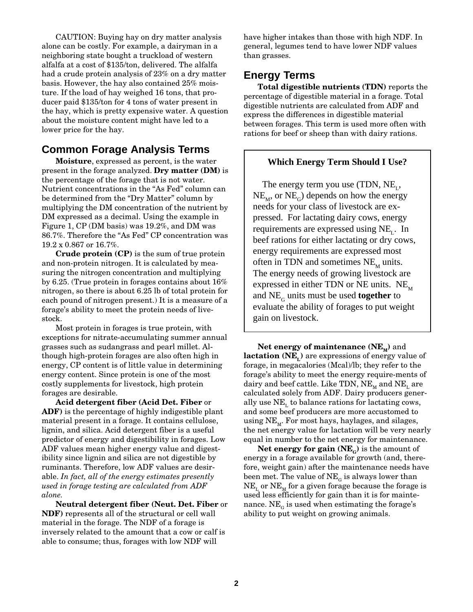CAUTION: Buying hay on dry matter analysis alone can be costly. For example, a dairyman in a neighboring state bought a truckload of western alfalfa at a cost of \$135/ton, delivered. The alfalfa had a crude protein analysis of 23% on a dry matter basis. However, the hay also contained 25% moisture. If the load of hay weighed 16 tons, that producer paid \$135/ton for 4 tons of water present in the hay, which is pretty expensive water. A question about the moisture content might have led to a lower price for the hay.

# **Common Forage Analysis Terms**

**Moisture**, expressed as percent, is the water present in the forage analyzed. **Dry matter (DM)** is the percentage of the forage that is not water. Nutrient concentrations in the "As Fed" column can be determined from the "Dry Matter" column by multiplying the DM concentration of the nutrient by DM expressed as a decimal. Using the example in Figure 1, CP (DM basis) was 19.2%, and DM was 86.7%. Therefore the "As Fed" CP concentration was 19.2 x 0.867 or 16.7%.

**Crude protein (CP)** is the sum of true protein and non-protein nitrogen. It is calculated by measuring the nitrogen concentration and multiplying by 6.25. (True protein in forages contains about 16% nitrogen, so there is about 6.25 lb of total protein for each pound of nitrogen present.) It is a measure of a forage's ability to meet the protein needs of livestock.

Most protein in forages is true protein, with exceptions for nitrate-accumulating summer annual grasses such as sudangrass and pearl millet. Although high-protein forages are also often high in energy, CP content is of little value in determining energy content. Since protein is one of the most costly supplements for livestock, high protein forages are desirable.

**Acid detergent fiber (Acid Det. Fiber** or **ADF)** is the percentage of highly indigestible plant material present in a forage. It contains cellulose, lignin, and silica. Acid detergent fiber is a useful predictor of energy and digestibility in forages. Low ADF values mean higher energy value and digestibility since lignin and silica are not digestible by ruminants. Therefore, low ADF values are desirable. *In fact, all of the energy estimates presently used in forage testing are calculated from ADF alone.*

**Neutral detergent fiber (Neut. Det. Fiber** or **NDF)** represents all of the structural or cell wall material in the forage. The NDF of a forage is inversely related to the amount that a cow or calf is able to consume; thus, forages with low NDF will

have higher intakes than those with high NDF. In general, legumes tend to have lower NDF values than grasses.

# **Energy Terms**

**Total digestible nutrients (TDN)** reports the percentage of digestible material in a forage. Total digestible nutrients are calculated from ADF and express the differences in digestible material between forages. This term is used more often with rations for beef or sheep than with dairy rations.

### **Which Energy Term Should I Use?**

The energy term you use (TDN,  $NE_{1}$ ,  $NE_{M}$ , or  $NE_{G}$ ) depends on how the energy needs for your class of livestock are expressed. For lactating dairy cows, energy requirements are expressed using  $NE_{r}$ . In beef rations for either lactating or dry cows, energy requirements are expressed most often in TDN and sometimes  $NE_{M}$  units. The energy needs of growing livestock are expressed in either TDN or NE units.  $NE_{M}$ and NEG units must be used **together** to evaluate the ability of forages to put weight gain on livestock.

**Net energy of maintenance**  $(NE_M)$  **and lactation (NE<sub>t</sub>) are expressions of energy value of** forage, in megacalories (Mcal)/lb; they refer to the forage's ability to meet the energy require-ments of dairy and beef cattle. Like TDN,  $NE_{M}$  and  $NE_{L}$  are calculated solely from ADF. Dairy producers generally use  $NE<sub>L</sub>$  to balance rations for lactating cows, and some beef producers are more accustomed to using  $NE_{M}$ . For most hays, haylages, and silages, the net energy value for lactation will be very nearly equal in number to the net energy for maintenance.

**Net energy for gain**  $(NE<sub>G</sub>)$  is the amount of energy in a forage available for growth (and, therefore, weight gain) after the maintenance needs have been met. The value of  $NE<sub>G</sub>$  is always lower than  $NE<sub>L</sub>$  or  $NE<sub>M</sub>$  for a given forage because the forage is used less efficiently for gain than it is for maintenance.  $NE<sub>G</sub>$  is used when estimating the forage's ability to put weight on growing animals.